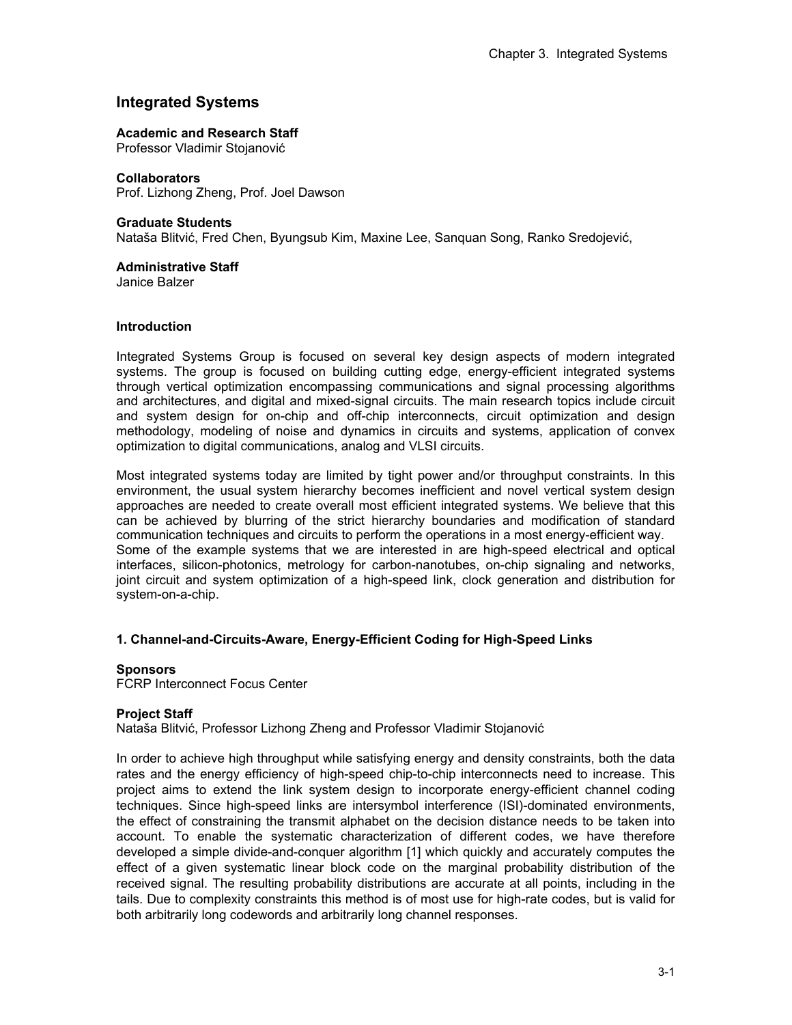## **Integrated Systems**

## **Academic and Research Staff**

Professor Vladimir Stojanović

**Collaborators**  Prof. Lizhong Zheng, Prof. Joel Dawson

## **Graduate Students**

Nataša Blitvić, Fred Chen, Byungsub Kim, Maxine Lee, Sanquan Song, Ranko Sredojević,

# **Administrative Staff**

Janice Balzer

## **Introduction**

Integrated Systems Group is focused on several key design aspects of modern integrated systems. The group is focused on building cutting edge, energy-efficient integrated systems through vertical optimization encompassing communications and signal processing algorithms and architectures, and digital and mixed-signal circuits. The main research topics include circuit and system design for on-chip and off-chip interconnects, circuit optimization and design methodology, modeling of noise and dynamics in circuits and systems, application of convex optimization to digital communications, analog and VLSI circuits.

Most integrated systems today are limited by tight power and/or throughput constraints. In this environment, the usual system hierarchy becomes inefficient and novel vertical system design approaches are needed to create overall most efficient integrated systems. We believe that this can be achieved by blurring of the strict hierarchy boundaries and modification of standard communication techniques and circuits to perform the operations in a most energy-efficient way. Some of the example systems that we are interested in are high-speed electrical and optical interfaces, silicon-photonics, metrology for carbon-nanotubes, on-chip signaling and networks, joint circuit and system optimization of a high-speed link, clock generation and distribution for system-on-a-chip.

## **1. Channel-and-Circuits-Aware, Energy-Efficient Coding for High-Speed Links**

## **Sponsors**

FCRP Interconnect Focus Center

## **Project Staff**

Nataša Blitvić, Professor Lizhong Zheng and Professor Vladimir Stojanović

In order to achieve high throughput while satisfying energy and density constraints, both the data rates and the energy efficiency of high-speed chip-to-chip interconnects need to increase. This project aims to extend the link system design to incorporate energy-efficient channel coding techniques. Since high-speed links are intersymbol interference (ISI)-dominated environments, the effect of constraining the transmit alphabet on the decision distance needs to be taken into account. To enable the systematic characterization of different codes, we have therefore developed a simple divide-and-conquer algorithm [1] which quickly and accurately computes the effect of a given systematic linear block code on the marginal probability distribution of the received signal. The resulting probability distributions are accurate at all points, including in the tails. Due to complexity constraints this method is of most use for high-rate codes, but is valid for both arbitrarily long codewords and arbitrarily long channel responses.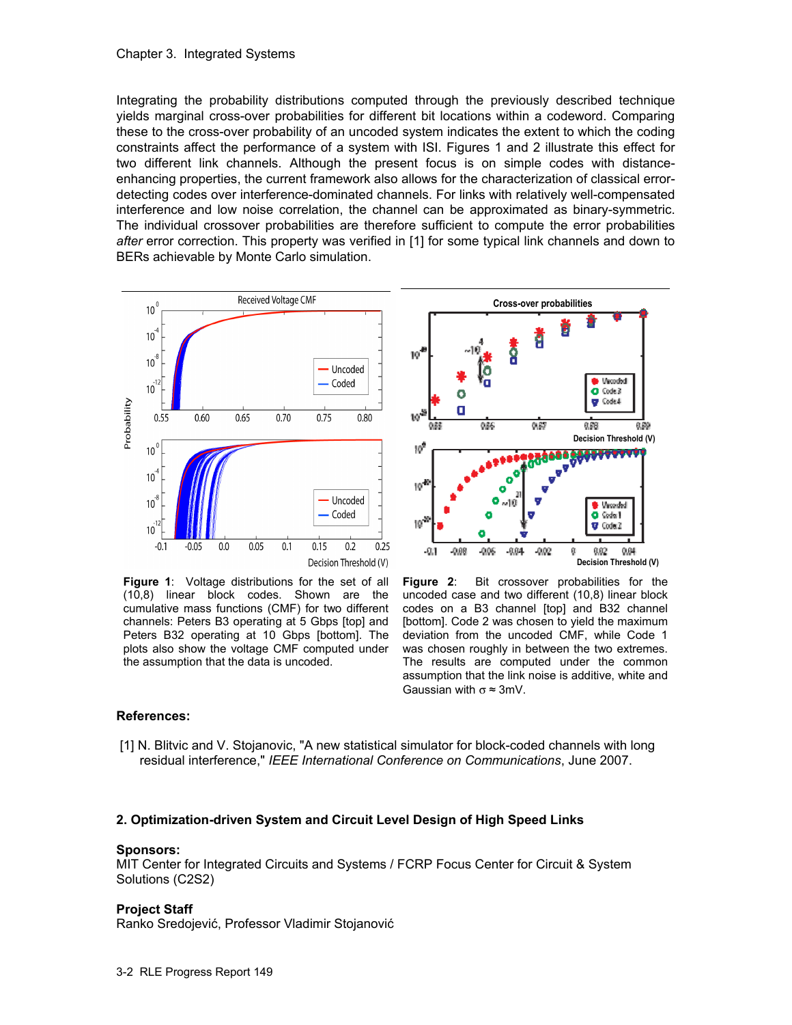Integrating the probability distributions computed through the previously described technique yields marginal cross-over probabilities for different bit locations within a codeword. Comparing these to the cross-over probability of an uncoded system indicates the extent to which the coding constraints affect the performance of a system with ISI. Figures 1 and 2 illustrate this effect for two different link channels. Although the present focus is on simple codes with distanceenhancing properties, the current framework also allows for the characterization of classical errordetecting codes over interference-dominated channels. For links with relatively well-compensated interference and low noise correlation, the channel can be approximated as binary-symmetric. The individual crossover probabilities are therefore sufficient to compute the error probabilities *after* error correction. This property was verified in [1] for some typical link channels and down to BERs achievable by Monte Carlo simulation.



**Figure 1**: Voltage distributions for the set of all (10,8) linear block codes. Shown are the cumulative mass functions (CMF) for two different channels: Peters B3 operating at 5 Gbps [top] and Peters B32 operating at 10 Gbps [bottom]. The plots also show the voltage CMF computed under the assumption that the data is uncoded.



**Figure 2**: Bit crossover probabilities for the uncoded case and two different (10,8) linear block codes on a B3 channel [top] and B32 channel [bottom]. Code 2 was chosen to yield the maximum deviation from the uncoded CMF, while Code 1 was chosen roughly in between the two extremes. The results are computed under the common assumption that the link noise is additive, white and Gaussian with  $\sigma \approx 3$ mV.

## **References:**

 [1] N. Blitvic and V. Stojanovic, "A new statistical simulator for block-coded channels with long residual interference," *IEEE International Conference on Communications*, June 2007.

## **2. Optimization-driven System and Circuit Level Design of High Speed Links**

#### **Sponsors:**

MIT Center for Integrated Circuits and Systems / FCRP Focus Center for Circuit & System Solutions (C2S2)

## **Project Staff**

Ranko Sredojević, Professor Vladimir Stojanović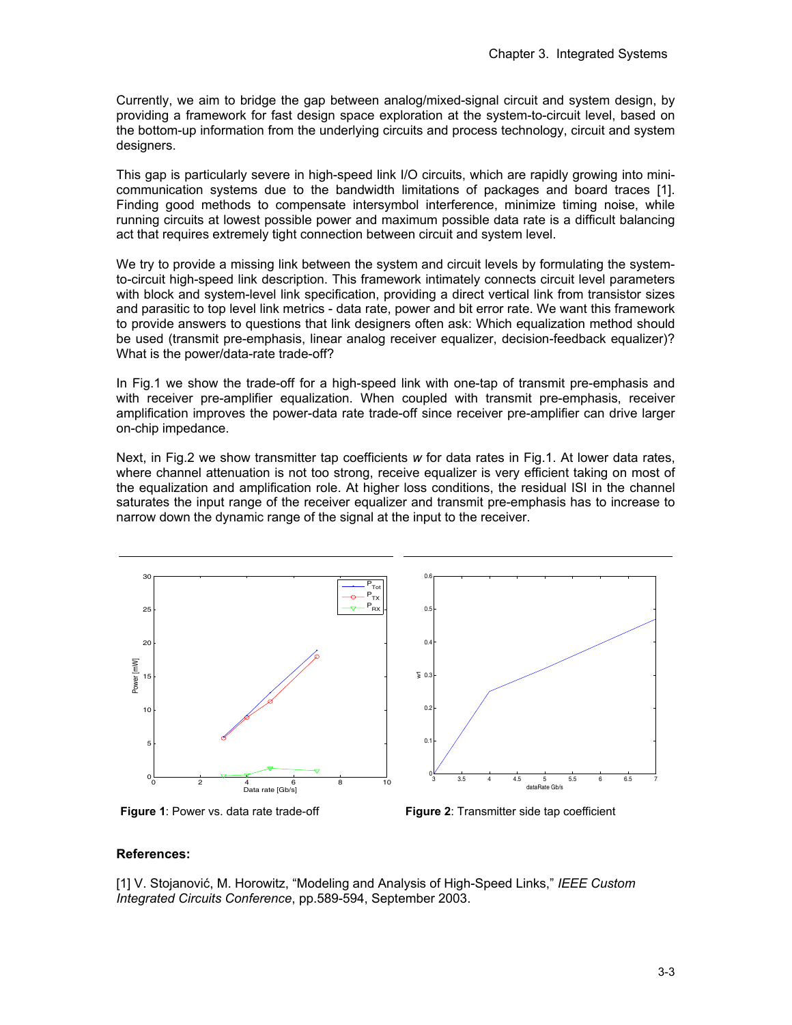Currently, we aim to bridge the gap between analog/mixed-signal circuit and system design, by providing a framework for fast design space exploration at the system-to-circuit level, based on the bottom-up information from the underlying circuits and process technology, circuit and system designers.

This gap is particularly severe in high-speed link I/O circuits, which are rapidly growing into minicommunication systems due to the bandwidth limitations of packages and board traces [1]. Finding good methods to compensate intersymbol interference, minimize timing noise, while running circuits at lowest possible power and maximum possible data rate is a difficult balancing act that requires extremely tight connection between circuit and system level.

We try to provide a missing link between the system and circuit levels by formulating the systemto-circuit high-speed link description. This framework intimately connects circuit level parameters with block and system-level link specification, providing a direct vertical link from transistor sizes and parasitic to top level link metrics - data rate, power and bit error rate. We want this framework to provide answers to questions that link designers often ask: Which equalization method should be used (transmit pre-emphasis, linear analog receiver equalizer, decision-feedback equalizer)? What is the power/data-rate trade-off?

In Fig.1 we show the trade-off for a high-speed link with one-tap of transmit pre-emphasis and with receiver pre-amplifier equalization. When coupled with transmit pre-emphasis, receiver amplification improves the power-data rate trade-off since receiver pre-amplifier can drive larger on-chip impedance.

Next, in Fig.2 we show transmitter tap coefficients *w* for data rates in Fig.1. At lower data rates, where channel attenuation is not too strong, receive equalizer is very efficient taking on most of the equalization and amplification role. At higher loss conditions, the residual ISI in the channel saturates the input range of the receiver equalizer and transmit pre-emphasis has to increase to narrow down the dynamic range of the signal at the input to the receiver.





**Figure 1**: Power vs. data rate trade-off **Figure 2**: Transmitter side tap coefficient

## **References:**

[1] V. Stojanović, M. Horowitz, "Modeling and Analysis of High-Speed Links," *IEEE Custom Integrated Circuits Conference*, pp.589-594, September 2003.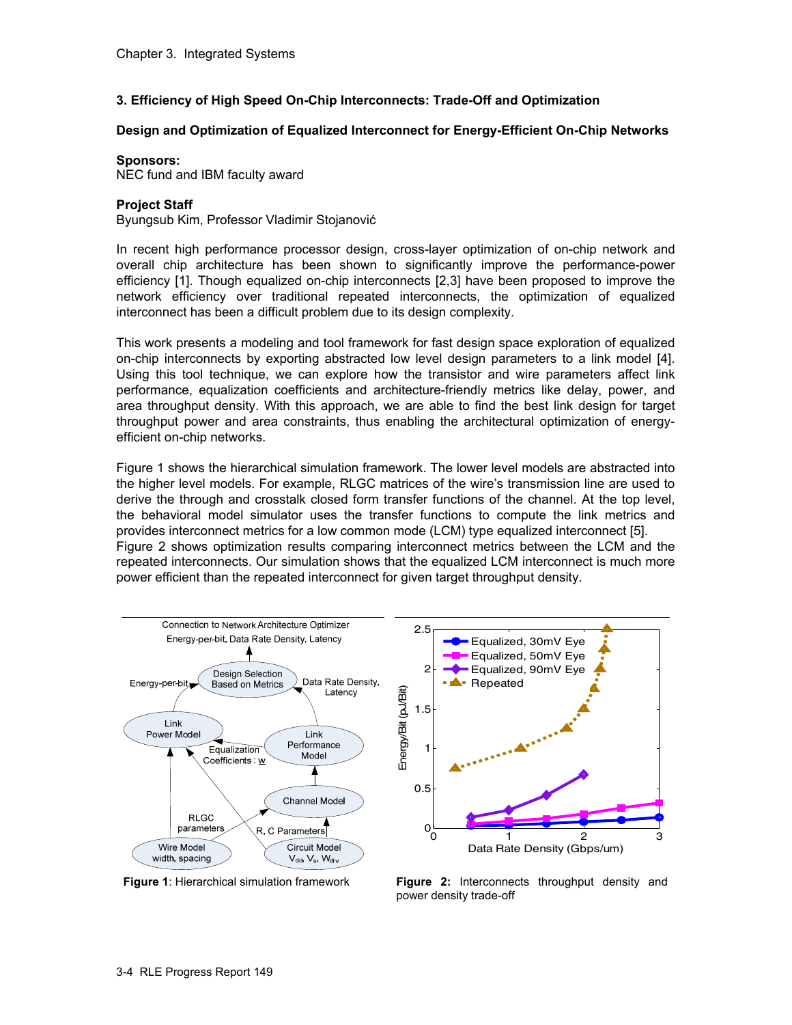## **3. Efficiency of High Speed On-Chip Interconnects: Trade-Off and Optimization**

## **Design and Optimization of Equalized Interconnect for Energy-Efficient On-Chip Networks**

### **Sponsors:**

NEC fund and IBM faculty award

## **Project Staff**

Byungsub Kim, Professor Vladimir Stojanović

In recent high performance processor design, cross-layer optimization of on-chip network and overall chip architecture has been shown to significantly improve the performance-power efficiency [1]. Though equalized on-chip interconnects [2,3] have been proposed to improve the network efficiency over traditional repeated interconnects, the optimization of equalized interconnect has been a difficult problem due to its design complexity.

This work presents a modeling and tool framework for fast design space exploration of equalized on-chip interconnects by exporting abstracted low level design parameters to a link model [4]. Using this tool technique, we can explore how the transistor and wire parameters affect link performance, equalization coefficients and architecture-friendly metrics like delay, power, and area throughput density. With this approach, we are able to find the best link design for target throughput power and area constraints, thus enabling the architectural optimization of energyefficient on-chip networks.

Figure 1 shows the hierarchical simulation framework. The lower level models are abstracted into the higher level models. For example, RLGC matrices of the wire's transmission line are used to derive the through and crosstalk closed form transfer functions of the channel. At the top level, the behavioral model simulator uses the transfer functions to compute the link metrics and provides interconnect metrics for a low common mode (LCM) type equalized interconnect [5]. Figure 2 shows optimization results comparing interconnect metrics between the LCM and the repeated interconnects. Our simulation shows that the equalized LCM interconnect is much more power efficient than the repeated interconnect for given target throughput density.



**Figure 1**: Hierarchical simulation framework **Figure 2:** Interconnects throughput density and power density trade-off